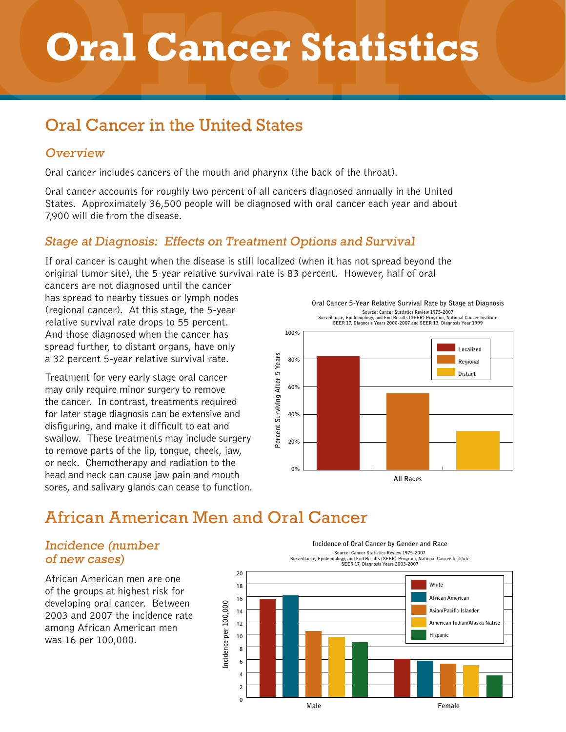# **Oral C Oral Cancer Statistics**

### Oral Cancer in the United States

### **Overview**

Oral cancer includes cancers of the mouth and pharynx (the back of the throat).

Oral cancer accounts for roughly two percent of all cancers diagnosed annually in the United States. Approximately 36,500 people will be diagnosed with oral cancer each year and about 7,900 will die from the disease.

### Stage at Diagnosis: Effects on Treatment Options and Survival

If oral cancer is caught when the disease is still localized (when it has not spread beyond the original tumor site), the 5-year relative survival rate is 83 percent. However, half of oral

cancers are not diagnosed until the cancer has spread to nearby tissues or lymph nodes (regional cancer). At this stage, the 5-year relative survival rate drops to 55 percent. And those diagnosed when the cancer has spread further, to distant organs, have only a 32 percent 5-year relative survival rate.

Treatment for very early stage oral cancer may only require minor surgery to remove the cancer. In contrast, treatments required for later stage diagnosis can be extensive and disfiguring, and make it difficult to eat and swallow. These treatments may include surgery to remove parts of the lip, tongue, cheek, jaw, or neck. Chemotherapy and radiation to the head and neck can cause jaw pain and mouth sores, and salivary glands can cease to function.



## African American Men and Oral Cancer

#### Incidence (number of new cases)

African American men are one of the groups at highest risk for developing oral cancer. Between 2003 and 2007 the incidence rate among African American men was 16 per 100,000.